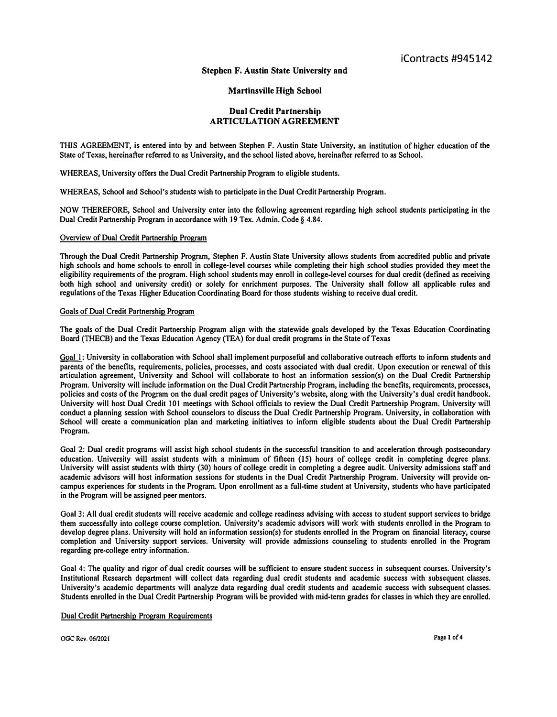## **Stephen F. Austin State University and**

# **Martinsville High School**

# **Dual Credit Partnership ARTICULATION AGREEMENT**

**THIS AGREEMENT, is entered into by and between Stephen F. Austin State University, an institution of higher education of the State of Texas, hereinafter referred to as University, and the school listed above, hereinafter referred to as School.** 

**WHEREAS, University offers the Dual Credit Partnership Program to eligible students.** 

**WHEREAS, School and School's students wish to participate in the Dual Credit Partnership Program.** 

**NOW THEREFORE, School and University enter into the following agreement regarding high school students participating in the Dual Credit Partnership Program in accordance with 19 Tex. Admin. Code§ 4.84.** 

### **Overview of Dual Credit Partnership Program**

**Through the Dual Credit Partnership Program, Stephen F. Austin State University allows students from accredited public and private high schools and home schools to enroll in college-level courses while completing their high school studies provided they meet the eligibility requirements of the program. High school students may enroll in college-level courses for dual credit (defined as receiving both high school and university credit) or solely for enrichment purposes. The University shall follow all applicable rules and regulations of the Texas Higher Education Coordinating Board for those students wishing to receive dual credit.** 

### **Goals of Dual Credit Partnership Program**

**The goals of the Dual Credit Partnership Program align with the statewide goals developed by the Texas Education Coordinating Board (THECB) and the Texas Education Agency (TEA) for dual credit programs in the State of Texas** 

Goal 1: University in collaboration with School shall implement purposeful and collaborative outreach efforts to inform students and **parents of the benefits, requirements, policies, processes, and costs associated with dual credit. Upon execution or renewal of this articulation agreement, University and School will collaborate to host an information session(s) on the Dual Credit Partnership Program. University will include information on the Dual Credit Partnership Program, including the benefits, requirements, processes, policies and costs of the Program on the dual credit pages of University's website, along with the University's dual credit handbook. University will host Dual Credit 101 meetings with School officials to review the Dual Credit Partnership Program. University will conduct a planning session with School counselors to discuss the Dual Credit Partnership Program. University, in collaboration with School will create a communication plan and marketing initiatives to inform eligible students about the Dual Credit Partnership Program.** 

**Goal 2: Dual credit programs will assist high school students in the successful transition to and acceleration through postsecondary education. University will assist students with a minimum of fifteen (IS) hours of college credit in completing degree plans. University will assist students with thirty (30} hours of college credit in completing a degree audit. University admissions staff and academic advisors will host information sessions for students in the Dual Credit Partnership Program. University will provide oncampus experiences for students in the Program. Upon enrollment as a full-time student at University, students who have participated in the Program will be assigned peer mentors.** 

**Goal 3: All dual credit students will receive academic and college readiness advising with access to student support services to bridge them successfully into college course completion. University's academic advisors will work with students enrolled in the Program to develop degree plans. University will hold an information session(s) for students enrolled in the Program on financial literacy, course completion and University support services. University will provide admissions counseling to students enrolled in the Program regarding pre-college entry infonnation.** 

**Goal 4: The quality and rigor of dual credit courses will be sufficient to ensure student success in subsequent courses. University's Institutional Research department will collect data regarding dual credit students and academic success with subsequent classes. University's academic departments will analyze data regarding dual credit students and academic success with subsequent classes. Students enrolled in the Dual Credit Partnership Program will be provided with mid-tenn grades for classes in which they are enrolled.** 

### **Dual Credit Partnership Program Requirements**

**OGC Rev, 06/2021 Page I of4**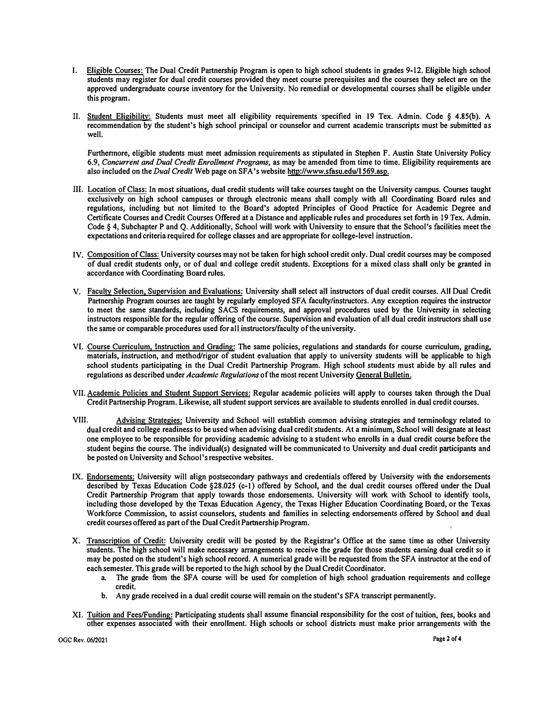- **I. Eligible Courses: The Dual Credit Partnership Program is open to high school students in grades 9-12. Eligible high school students may register for dual credit courses provided they meet course prerequisites and the courses they select are on the approved undergraduate course inventory for the University. No remedial or developmental courses shall be eligible under this program.**
- **II. Student Eligibility: Students must meet all eligibility requirements specified in 19 Tex. Admin. Code § 4.85(b). A recommendation by the student's high school principal or counselor and current academic transcripts must be submit***t***ed as well.**

**Furthennore, eligible students must meet admission requirements as stipulated in Stephen F. Austin State University Policy 6.9,** *Concurrent and Dual Credit Enrollment Programs,* **as may be amended from time to time. Eligibility requirements are also included on the** *Dual Credit* **Web page on SFA 's website http://www.sfasu.edu/l 569.asp.** 

- m. **Location of Class: In most si***t***uations, dual credit students will take courses taught on the University campus. Courses taught exclusively on high school campuses or through electronic means shall comply with all Coordinating Board rules and regulations, including but not limited to the Board's adopted Principles of Good Practice for Academic Degree and Certificate Courses and Credit Courses Offered at a Distance and applicable rules and procedures set forth in 19 Tex. Admin. Code § 4, Subchapter P and Q. Additionally, School will work with University to ensure that the School's facilities meet the expectations and criteria required for college classes and are appropriate for college-level instruction.**
- **IV. Composition of Class: University courses may not be taken for high school credit only. Dual credit courses may be composed of dual credit students only, or of dual and college credit s***t***udents. Exceptions for a mixed class shall only be granted in accordance with Coordinating Board rules.**
- **V. Faculty Selection, Supervision and Evaluations: University shall select all instructors of dual credit courses. All Dual Credit**  Partnership Program courses are taught by regularly employed SFA faculty/instructors. Any exception requires the instructor **to meet the same standards, including SACS requirements, and approval procedures used by the University in selecting instructors responsible for the regular offering of the course. Supervision and evaluation of all dual credit instructors shall use the same or comparable procedures used for all instructors/faculty of the university.**
- **VI. Course Curriculum, Instruction and Grading: The same policies, regulations and standards for course curriculum, grading, materials, instruction, and method/rigor of student evaluation that apply to university students will be applicable to high school students participating in the Dual Credit Partnership Program. High school students must abide by all rules and regulations as described under** *Academic Regulations* **of the most recent University General Bulletin.**
- **VII. Academic Policies and Student Support Services: Regular academic policies will apply to courses taken through the Dual Credit Partnership Program. Likewise, all s***t***udent support services are available to students enrolled in dual credit courses.**
- **VIII. Advising Strategies: University and School will establish common advising strategies and terminology related to dual credit and college readiness to be used when advising dual credit students. At a minimum, School will designate at least one employee to be responsible for providing academic advising to a student who enrolls in a dual credit course before the student begins the course. The individual(s) designated will be communicated to University and dual credit participants and be posted on University and School's respective websites.**
- **IX. Endorsements: University will align pos***t***secondary pathways and credentials offered by University with the endorsements described by Texas Education Code §28.025 (c-1) offered by School, and the dual credit courses offered under the Dual Credit Partnership Program that apply towards those endorsements. University will work with School to identify tools, including those developed by the Texas Education Agency, the Texas Higher Education Coordinating Board, or the Texas Workforce Commission, to assist counselors, students and families in selecting endorsements offered by School and dual credit courses offered as part of the Dual Credit Partnership Program.**
- **X. Transcription of Credit: University credit will be posted by the Regis***t***rar's Office at the same time as other University students. The high school will make necessary arrangements to receive the grade for those students earning dual credit so it may be posted on the student's high school record. A numerical grade will be requested from the SFA instructor at the end of each semester. This grade will be reported to the high school by the Dual Credit Coordinator.** 
	- a. The grade from the SFA course will be used for completion of high school graduation requirements and college **credit.**
	- **b.** Any grade received in a dual credit course will remain on the student's SFA transcript permanently.
- **XI. Tuition and Fees/Funding: Participating students shall assume financial responsibili***t***y for the cost of tuition, fees, books and other expenses associated with their enrollment, High schools or school districts must make prior arrangements with the**